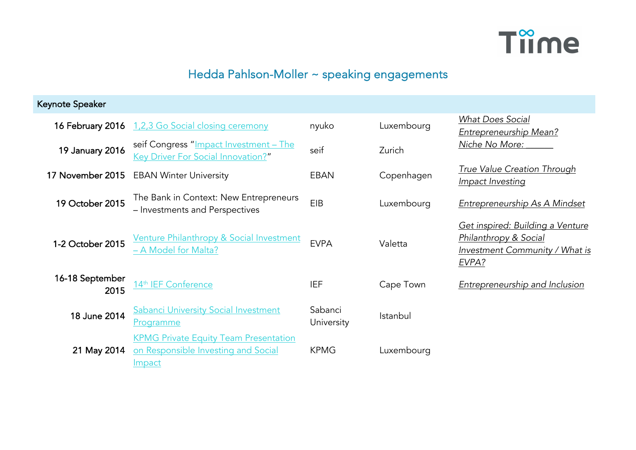

## Hedda Pahlson-Moller ~ speaking engagements

| Keynote Speaker         |                                                                                               |                       |            |                                                                                                                 |
|-------------------------|-----------------------------------------------------------------------------------------------|-----------------------|------------|-----------------------------------------------------------------------------------------------------------------|
| 16 February 2016        | 1,2,3 Go Social closing ceremony                                                              | nyuko                 | Luxembourg | <b>What Does Social</b><br><b>Entrepreneurship Mean?</b>                                                        |
| 19 January 2016         | seif Congress "Impact Investment - The<br>Key Driver For Social Innovation?"                  | seif                  | Zurich     | Niche No More:                                                                                                  |
| 17 November 2015        | <b>EBAN Winter University</b>                                                                 | <b>EBAN</b>           | Copenhagen | <b>True Value Creation Through</b><br>Impact Investing                                                          |
| 19 October 2015         | The Bank in Context: New Entrepreneurs<br>- Investments and Perspectives                      | EIB                   | Luxembourg | <b>Entrepreneurship As A Mindset</b>                                                                            |
| 1-2 October 2015        | <b>Venture Philanthropy &amp; Social Investment</b><br>- A Model for Malta?                   | <b>EVPA</b>           | Valetta    | Get inspired: Building a Venture<br><b>Philanthropy &amp; Social</b><br>Investment Community / What is<br>EVPA? |
| 16-18 September<br>2015 | 14 <sup>th</sup> IEF Conference                                                               | <b>IEF</b>            | Cape Town  | <b>Entrepreneurship and Inclusion</b>                                                                           |
| 18 June 2014            | <b>Sabanci University Social Investment</b><br>Programme                                      | Sabanci<br>University | Istanbul   |                                                                                                                 |
| 21 May 2014             | <b>KPMG Private Equity Team Presentation</b><br>on Responsible Investing and Social<br>Impact | <b>KPMG</b>           | Luxembourg |                                                                                                                 |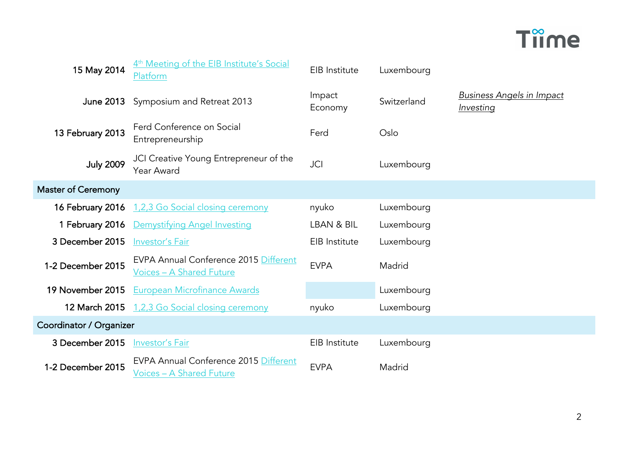

| 15 May 2014                    | 4 <sup>th</sup> Meeting of the EIB Institute's Social<br>Platform                      | EIB Institute     | Luxembourg  |                                               |
|--------------------------------|----------------------------------------------------------------------------------------|-------------------|-------------|-----------------------------------------------|
| <b>June 2013</b>               | Symposium and Retreat 2013                                                             | Impact<br>Economy | Switzerland | <b>Business Angels in Impact</b><br>Investing |
| 13 February 2013               | Ferd Conference on Social<br>Entrepreneurship                                          | Ferd              | Oslo        |                                               |
| <b>July 2009</b>               | JCI Creative Young Entrepreneur of the<br><b>Year Award</b>                            | <b>JCI</b>        | Luxembourg  |                                               |
| <b>Master of Ceremony</b>      |                                                                                        |                   |             |                                               |
| 16 February 2016               | 1,2,3 Go Social closing ceremony                                                       | nyuko             | Luxembourg  |                                               |
| 1 February 2016                | Demystifying Angel Investing                                                           | LBAN & BIL        | Luxembourg  |                                               |
| 3 December 2015                | Investor's Fair                                                                        | EIB Institute     | Luxembourg  |                                               |
| 1-2 December 2015              | <b>EVPA Annual Conference 2015 Different</b><br><b>Voices - A Shared Future</b>        | <b>EVPA</b>       | Madrid      |                                               |
| 19 November 2015               | <b>European Microfinance Awards</b>                                                    |                   | Luxembourg  |                                               |
| 12 March 2015                  | 1,2,3 Go Social closing ceremony                                                       | nyuko             | Luxembourg  |                                               |
| <b>Coordinator / Organizer</b> |                                                                                        |                   |             |                                               |
| 3 December 2015                | Investor's Fair                                                                        | EIB Institute     | Luxembourg  |                                               |
| 1-2 December 2015              | <b>EVPA Annual Conference 2015 Different</b><br><u><b>Voices - A Shared Future</b></u> | <b>EVPA</b>       | Madrid      |                                               |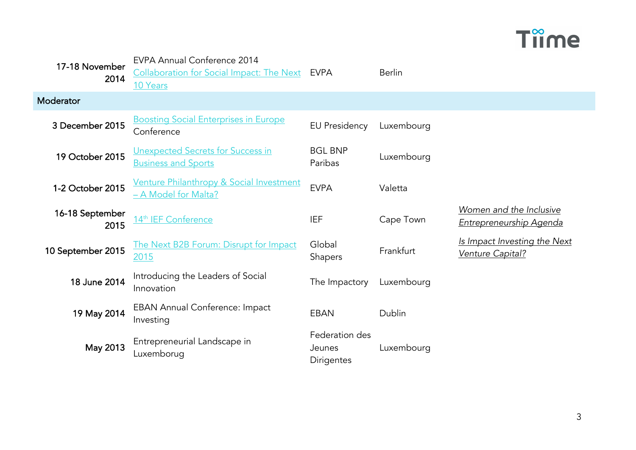## **Tiime**

| 17-18 November<br>2014  | EVPA Annual Conference 2014<br>Collaboration for Social Impact: The Next EVPA<br>10 Years |                                               | <b>Berlin</b> |                                                           |
|-------------------------|-------------------------------------------------------------------------------------------|-----------------------------------------------|---------------|-----------------------------------------------------------|
| Moderator               |                                                                                           |                                               |               |                                                           |
| 3 December 2015         | <b>Boosting Social Enterprises in Europe</b><br>Conference                                | <b>EU Presidency</b>                          | Luxembourg    |                                                           |
| 19 October 2015         | Unexpected Secrets for Success in<br><b>Business and Sports</b>                           | <b>BGL BNP</b><br>Paribas                     | Luxembourg    |                                                           |
| 1-2 October 2015        | Venture Philanthropy & Social Investment<br>- A Model for Malta?                          | <b>EVPA</b>                                   | Valetta       |                                                           |
| 16-18 September<br>2015 | 14th IEF Conference                                                                       | <b>IEF</b>                                    | Cape Town     | Women and the Inclusive<br><u>Entrepreneurship Agenda</u> |
| 10 September 2015       | The Next B2B Forum: Disrupt for Impact<br>2015                                            | Global<br><b>Shapers</b>                      | Frankfurt     | Is Impact Investing the Next<br>Venture Capital?          |
| 18 June 2014            | Introducing the Leaders of Social<br>Innovation                                           | The Impactory                                 | Luxembourg    |                                                           |
| 19 May 2014             | <b>EBAN Annual Conference: Impact</b><br>Investing                                        | <b>EBAN</b>                                   | Dublin        |                                                           |
| May 2013                | Entrepreneurial Landscape in<br>Luxemborug                                                | Federation des<br>Jeunes<br><b>Dirigentes</b> | Luxembourg    |                                                           |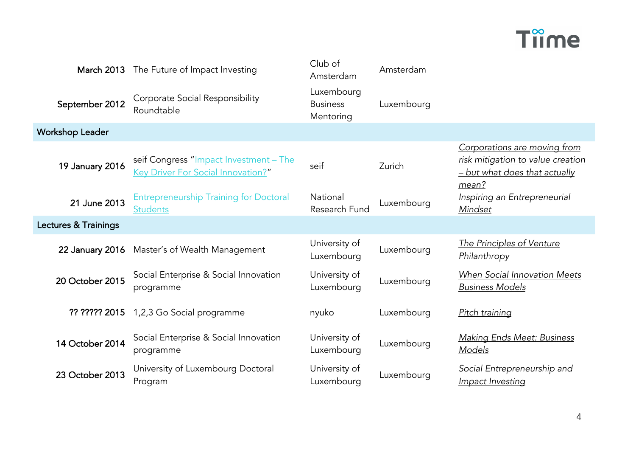## **Time**

| <b>March 2013</b>      | The Future of Impact Investing                                               | Club of<br>Amsterdam                       | Amsterdam  |                                                                                                             |
|------------------------|------------------------------------------------------------------------------|--------------------------------------------|------------|-------------------------------------------------------------------------------------------------------------|
| September 2012         | Corporate Social Responsibility<br>Roundtable                                | Luxembourg<br><b>Business</b><br>Mentoring | Luxembourg |                                                                                                             |
| <b>Workshop Leader</b> |                                                                              |                                            |            |                                                                                                             |
| <b>19 January 2016</b> | seif Congress "Impact Investment - The<br>Key Driver For Social Innovation?" | seif                                       | Zurich     | Corporations are moving from<br>risk mitigation to value creation<br>- but what does that actually<br>mean? |
| 21 June 2013           | <b>Entrepreneurship Training for Doctoral</b><br>Students                    | National<br>Research Fund                  | Luxembourg | <b>Inspiring an Entrepreneurial</b><br>Mindset                                                              |
| Lectures & Trainings   |                                                                              |                                            |            |                                                                                                             |
| 22 January 2016        | Master's of Wealth Management                                                | University of<br>Luxembourg                | Luxembourg | <b>The Principles of Venture</b><br>Philanthropy                                                            |
| 20 October 2015        | Social Enterprise & Social Innovation<br>programme                           | University of<br>Luxembourg                | Luxembourg | When Social Innovation Meets<br><b>Business Models</b>                                                      |
| ?? ????? 2015          | 1,2,3 Go Social programme                                                    | nyuko                                      | Luxembourg | Pitch training                                                                                              |
| 14 October 2014        | Social Enterprise & Social Innovation<br>programme                           | University of<br>Luxembourg                | Luxembourg | <b>Making Ends Meet: Business</b><br>Models                                                                 |
| 23 October 2013        | University of Luxembourg Doctoral<br>Program                                 | University of<br>Luxembourg                | Luxembourg | Social Entrepreneurship and<br>Impact Investing                                                             |